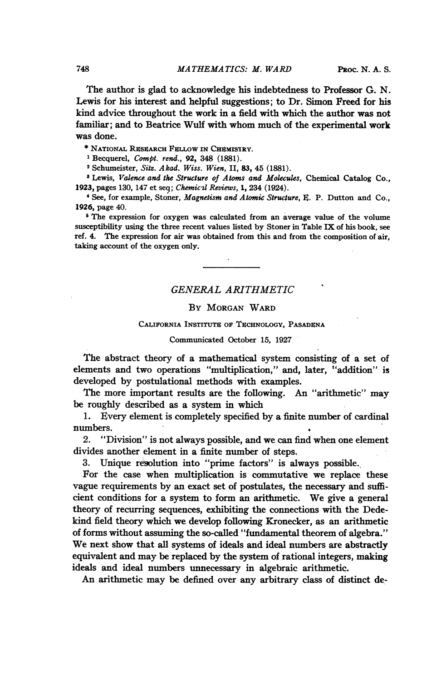The author is glad to acknowledge his indebtedness to Professor G. N. Lewis for his interest and helpful suggestions; to Dr. Simon Freed for his kind advice throughout the work in a field with which the author was not familiar; and to Beatrice Wulf with whom much of the experimental work was done.

\* NATIONAL RESEARCH FELLOW IN CHEMISTRY.

<sup>1</sup> Becquerel, *Compt. rend.*, 92, 348 (1881).

<sup>2</sup> Schumeister, Sitz. Akad. Wiss. Wien, II, 83, 45 (1881).

<sup>8</sup> Lewis, Valence and the Structure of Atoms and Molecules, Chemical Catalog Co., 1923, pages 130, 147 et seq; Chemicul Reviews, 1, 234 (1924).

<sup>4</sup> See, for example, Stoner, Magnetism and Atomic Structure, E. P. Dutton and Co., 1926, page 40.

<sup>6</sup> The expression for oxygen was calculated from an average value of the volume susceptibility using the three recent values listed by Stoner in Table IX of his book, see ref. 4. The expression for air was obtained from this and from the composition of air, taking account of the oxygen only.

## GENERAL ARITHMETIC

## By MORGAN WARD

### CALIFORNIA INSTITUTE OF TECHNOLOGY, PASADENA

### Communicated October 15, 1927

The abstract theory of a mathematical system consisting of a set of elements and two operations "multiplication," and, later, "addition" is developed by postulational methods with examples.

The more important results are the following. An "arithmetic" may be roughly described as a system in which

1. Every element is completely specified by a finite number of cardinal numbers.

2. "Division" is not always possible, and we can find when one element divides another element in a finite number of steps.

3. Unique resolution into "prime factors" is always possible.

For the case when multiplication is commutative we replace these vague requirements by an exact set of postulates, the necessary and sufficient conditions for a system to form an arithmetic. We give <sup>a</sup> general theory of recurring sequences, exhibiting the connections with the Dedekind field theory which we develop following Kronecker, as an arithmetic of forms without assuming the so-called "fundamental theorem of algebra." We next show that all systems of ideals and ideal numbers are abstractly equivalent and may be replaced by the system of rational integers, making ideals and ideal numbers unnecessary in algebraic arithmetic.

An arithmetic may be defined over any arbitrary class of distinct de-